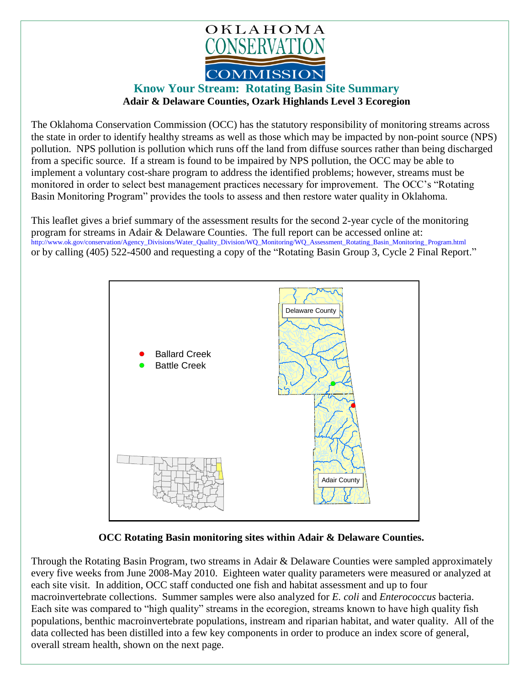

## **Know Your Stream: Rotating Basin Site Summary Adair & Delaware Counties, Ozark Highlands Level 3 Ecoregion**

The Oklahoma Conservation Commission (OCC) has the statutory responsibility of monitoring streams across the state in order to identify healthy streams as well as those which may be impacted by non-point source (NPS) pollution. NPS pollution is pollution which runs off the land from diffuse sources rather than being discharged from a specific source. If a stream is found to be impaired by NPS pollution, the OCC may be able to implement a voluntary cost-share program to address the identified problems; however, streams must be monitored in order to select best management practices necessary for improvement. The OCC's "Rotating Basin Monitoring Program" provides the tools to assess and then restore water quality in Oklahoma.

This leaflet gives a brief summary of the assessment results for the second 2-year cycle of the monitoring program for streams in Adair & Delaware Counties. The full report can be accessed online at: [http://www.ok.gov/conservation/Agency\\_Divisions/Water\\_Quality\\_Division/WQ\\_Monitoring/WQ\\_Assessment\\_Rotating\\_Basin\\_Monitoring\\_Program.html](http://www.ok.gov/conservation/Agency_Divisions/Water_Quality_Division/WQ_Monitoring/WQ_Assessment_Rotating_Basin_Monitoring_Program.html)  or by calling (405) 522-4500 and requesting a copy of the "Rotating Basin Group 3, Cycle 2 Final Report."



## **OCC Rotating Basin monitoring sites within Adair & Delaware Counties.**

Through the Rotating Basin Program, two streams in Adair & Delaware Counties were sampled approximately every five weeks from June 2008-May 2010. Eighteen water quality parameters were measured or analyzed at each site visit. In addition, OCC staff conducted one fish and habitat assessment and up to four macroinvertebrate collections. Summer samples were also analyzed for *E. coli* and *Enterococcus* bacteria. Each site was compared to "high quality" streams in the ecoregion, streams known to have high quality fish populations, benthic macroinvertebrate populations, instream and riparian habitat, and water quality. All of the data collected has been distilled into a few key components in order to produce an index score of general, overall stream health, shown on the next page.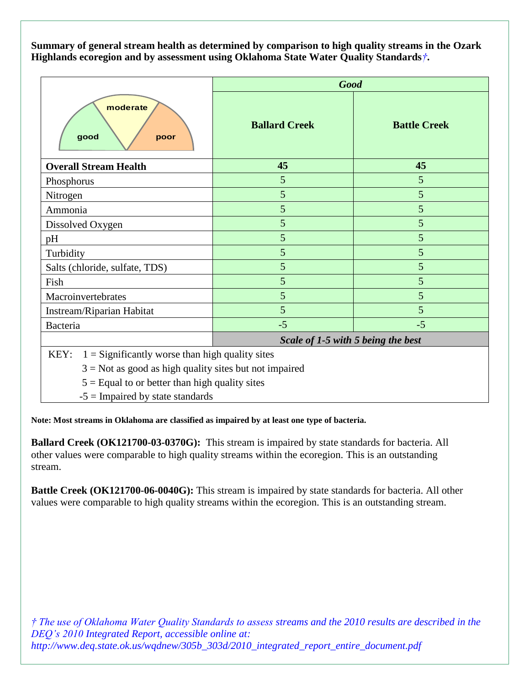**Summary of general stream health as determined by comparison to high quality streams in the Ozark Highlands ecoregion and by assessment using Oklahoma State Water Quality Standards***†***.**

| moderate<br>good<br>poor       | <b>Good</b>                        |                     |
|--------------------------------|------------------------------------|---------------------|
|                                | <b>Ballard Creek</b>               | <b>Battle Creek</b> |
| <b>Overall Stream Health</b>   | 45                                 | 45                  |
| Phosphorus                     | 5                                  | 5                   |
| Nitrogen                       | 5                                  | 5                   |
| Ammonia                        | 5                                  | 5                   |
| Dissolved Oxygen               | 5                                  | 5                   |
| pH                             | 5                                  | 5                   |
| Turbidity                      | 5                                  | 5                   |
| Salts (chloride, sulfate, TDS) | 5                                  | 5                   |
| Fish                           | 5                                  | 5                   |
| Macroinvertebrates             | 5                                  | 5                   |
| Instream/Riparian Habitat      | 5                                  | 5                   |
| <b>Bacteria</b>                | $-5$                               | $-5$                |
|                                | Scale of 1-5 with 5 being the best |                     |

 $E[Y: 1 =$  Significantly worse than high quality sites

 $3 = Not$  as good as high quality sites but not impaired

 $5 =$  Equal to or better than high quality sites

 $-5$  = Impaired by state standards

**Note: Most streams in Oklahoma are classified as impaired by at least one type of bacteria.**

**Ballard Creek (OK121700-03-0370G):** This stream is impaired by state standards for bacteria. All other values were comparable to high quality streams within the ecoregion. This is an outstanding stream.

**Battle Creek (OK121700-06-0040G):** This stream is impaired by state standards for bacteria. All other values were comparable to high quality streams within the ecoregion. This is an outstanding stream.

*† The use of Oklahoma Water Quality Standards to assess streams and the 2010 results are described in the DEQ's 2010 Integrated Report, accessible online at: http://www.deq.state.ok.us/wqdnew/305b\_303d/2010\_integrated\_report\_entire\_document.pdf*